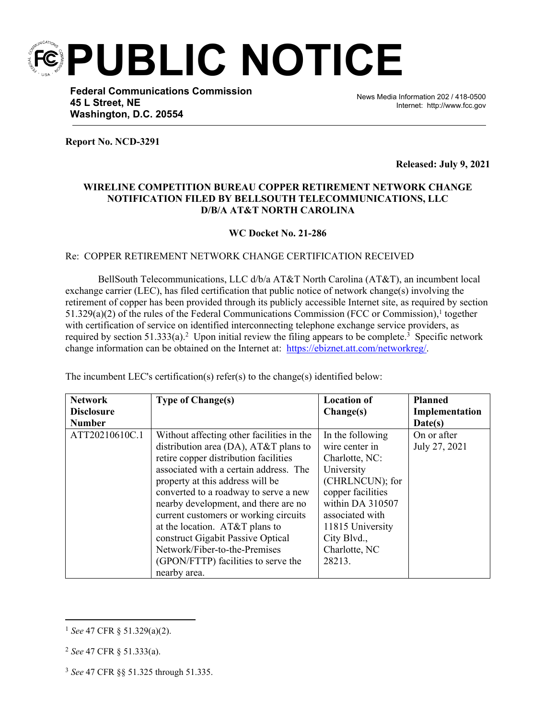**PUBLIC NOTICE**

**Federal Communications Commission 45 L Street, NE Washington, D.C. 20554**

News Media Information 202 / 418-0500 Internet: http://www.fcc.gov

**Report No. NCD-3291**

**Released: July 9, 2021**

## **WIRELINE COMPETITION BUREAU COPPER RETIREMENT NETWORK CHANGE NOTIFICATION FILED BY BELLSOUTH TELECOMMUNICATIONS, LLC D/B/A AT&T NORTH CAROLINA**

 $\overline{a}$ 

**WC Docket No. 21-286**

## Re: COPPER RETIREMENT NETWORK CHANGE CERTIFICATION RECEIVED

BellSouth Telecommunications, LLC d/b/a AT&T North Carolina (AT&T), an incumbent local exchange carrier (LEC), has filed certification that public notice of network change(s) involving the retirement of copper has been provided through its publicly accessible Internet site, as required by section  $51.329(a)(2)$  of the rules of the Federal Communications Commission (FCC or Commission),<sup>1</sup> together with certification of service on identified interconnecting telephone exchange service providers, as required by section  $51.333(a)$ .<sup>2</sup> Upon initial review the filing appears to be complete.<sup>3</sup> Specific network change information can be obtained on the Internet at: https://ebiznet.att.com/networkreg/.

| <b>Network</b><br><b>Disclosure</b> | <b>Type of Change(s)</b>                  | <b>Location of</b><br>Change(s) | <b>Planned</b><br>Implementation |
|-------------------------------------|-------------------------------------------|---------------------------------|----------------------------------|
| <b>Number</b>                       |                                           |                                 | Date(s)                          |
| ATT20210610C.1                      | Without affecting other facilities in the | In the following                | On or after                      |
|                                     | distribution area (DA), $AT&T$ plans to   | wire center in                  | July 27, 2021                    |
|                                     | retire copper distribution facilities     | Charlotte, NC:                  |                                  |
|                                     | associated with a certain address. The    | University                      |                                  |
|                                     | property at this address will be          | (CHRLNCUN); for                 |                                  |
|                                     | converted to a roadway to serve a new     | copper facilities               |                                  |
|                                     | nearby development, and there are no      | within DA 310507                |                                  |
|                                     | current customers or working circuits     | associated with                 |                                  |
|                                     | at the location. $AT&T$ plans to          | 11815 University                |                                  |
|                                     | construct Gigabit Passive Optical         | City Blvd.,                     |                                  |
|                                     | Network/Fiber-to-the-Premises             | Charlotte, NC                   |                                  |
|                                     | (GPON/FTTP) facilities to serve the       | 28213.                          |                                  |
|                                     | nearby area.                              |                                 |                                  |

The incumbent LEC's certification(s) refer(s) to the change(s) identified below:

<sup>1</sup> *See* 47 CFR § 51.329(a)(2).

<sup>2</sup> *See* 47 CFR § 51.333(a).

<sup>3</sup> *See* 47 CFR §§ 51.325 through 51.335.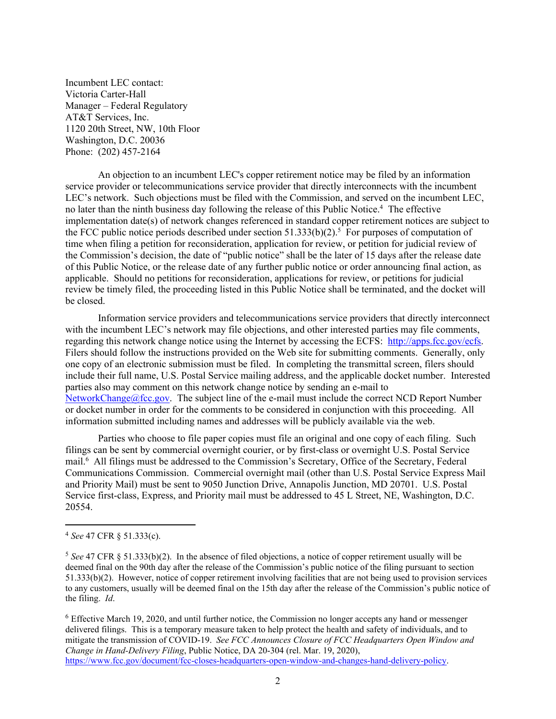Incumbent LEC contact: Victoria Carter-Hall Manager – Federal Regulatory AT&T Services, Inc. 1120 20th Street, NW, 10th Floor Washington, D.C. 20036 Phone: (202) 457-2164

An objection to an incumbent LEC's copper retirement notice may be filed by an information service provider or telecommunications service provider that directly interconnects with the incumbent LEC's network. Such objections must be filed with the Commission, and served on the incumbent LEC, no later than the ninth business day following the release of this Public Notice.<sup>4</sup> The effective implementation date(s) of network changes referenced in standard copper retirement notices are subject to the FCC public notice periods described under section  $51.333(b)(2)$ .<sup>5</sup> For purposes of computation of time when filing a petition for reconsideration, application for review, or petition for judicial review of the Commission's decision, the date of "public notice" shall be the later of 15 days after the release date of this Public Notice, or the release date of any further public notice or order announcing final action, as applicable. Should no petitions for reconsideration, applications for review, or petitions for judicial review be timely filed, the proceeding listed in this Public Notice shall be terminated, and the docket will be closed.

Information service providers and telecommunications service providers that directly interconnect with the incumbent LEC's network may file objections, and other interested parties may file comments, regarding this network change notice using the Internet by accessing the ECFS: [http://apps.fcc.gov/ecfs.](http://apps.fcc.gov/ecfs) Filers should follow the instructions provided on the Web site for submitting comments. Generally, only one copy of an electronic submission must be filed. In completing the transmittal screen, filers should include their full name, U.S. Postal Service mailing address, and the applicable docket number. Interested parties also may comment on this network change notice by sending an e-mail to [NetworkChange@fcc.gov.](mailto:NetworkChange@fcc.gov) The subject line of the e-mail must include the correct NCD Report Number or docket number in order for the comments to be considered in conjunction with this proceeding. All information submitted including names and addresses will be publicly available via the web.

Parties who choose to file paper copies must file an original and one copy of each filing. Such filings can be sent by commercial overnight courier, or by first-class or overnight U.S. Postal Service mail.<sup>6</sup> All filings must be addressed to the Commission's Secretary, Office of the Secretary, Federal Communications Commission. Commercial overnight mail (other than U.S. Postal Service Express Mail and Priority Mail) must be sent to 9050 Junction Drive, Annapolis Junction, MD 20701. U.S. Postal Service first-class, Express, and Priority mail must be addressed to 45 L Street, NE, Washington, D.C. 20554.

<sup>6</sup> Effective March 19, 2020, and until further notice, the Commission no longer accepts any hand or messenger delivered filings. This is a temporary measure taken to help protect the health and safety of individuals, and to mitigate the transmission of COVID-19. *See FCC Announces Closure of FCC Headquarters Open Window and Change in Hand-Delivery Filing*, Public Notice, DA 20-304 (rel. Mar. 19, 2020), [https://www.fcc.gov/document/fcc-closes-headquarters-open-window-and-changes-hand-delivery-policy.](https://www.fcc.gov/document/fcc-closes-headquarters-open-window-and-changes-hand-delivery-policy)

<sup>4</sup> *See* 47 CFR § 51.333(c).

<sup>5</sup> *See* 47 CFR § 51.333(b)(2). In the absence of filed objections, a notice of copper retirement usually will be deemed final on the 90th day after the release of the Commission's public notice of the filing pursuant to section 51.333(b)(2). However, notice of copper retirement involving facilities that are not being used to provision services to any customers, usually will be deemed final on the 15th day after the release of the Commission's public notice of the filing. *Id*.